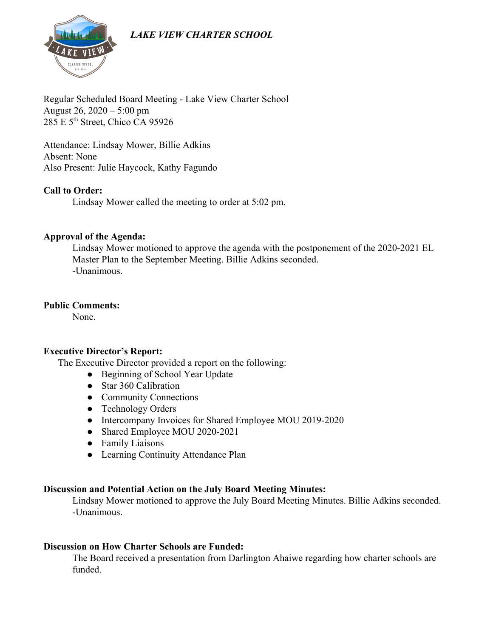# *LAKE VIEW CHARTER SCHOOL*



Regular Scheduled Board Meeting - Lake View Charter School August 26, 2020 – 5:00 pm 285 E 5th Street, Chico CA 95926

Attendance: Lindsay Mower, Billie Adkins Absent: None Also Present: Julie Haycock, Kathy Fagundo

#### **Call to Order:**

Lindsay Mower called the meeting to order at 5:02 pm.

#### **Approval of the Agenda:**

Lindsay Mower motioned to approve the agenda with the postponement of the 2020-2021 EL Master Plan to the September Meeting. Billie Adkins seconded. -Unanimous.

#### **Public Comments:**

None.

#### **Executive Director's Report:**

The Executive Director provided a report on the following:

- Beginning of School Year Update
- Star 360 Calibration
- Community Connections
- Technology Orders
- Intercompany Invoices for Shared Employee MOU 2019-2020
- Shared Employee MOU 2020-2021
- Family Liaisons
- Learning Continuity Attendance Plan

#### **Discussion and Potential Action on the July Board Meeting Minutes:**

Lindsay Mower motioned to approve the July Board Meeting Minutes. Billie Adkins seconded. -Unanimous.

#### **Discussion on How Charter Schools are Funded:**

The Board received a presentation from Darlington Ahaiwe regarding how charter schools are funded.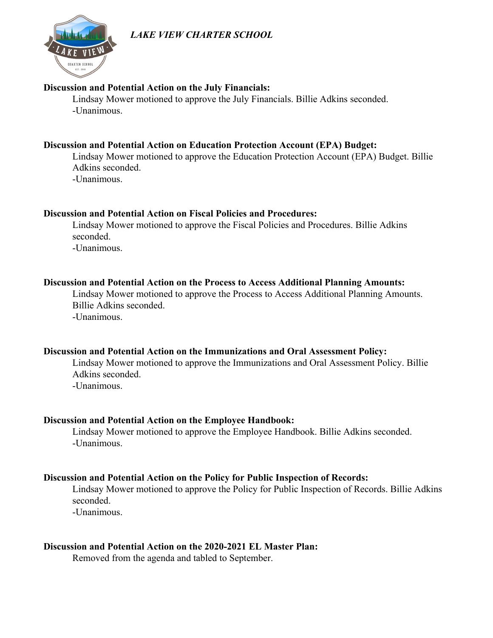## *LAKE VIEW CHARTER SCHOOL*



#### **Discussion and Potential Action on the July Financials:**

Lindsay Mower motioned to approve the July Financials. Billie Adkins seconded. -Unanimous.

#### **Discussion and Potential Action on Education Protection Account (EPA) Budget:**

Lindsay Mower motioned to approve the Education Protection Account (EPA) Budget. Billie Adkins seconded. -Unanimous.

#### **Discussion and Potential Action on Fiscal Policies and Procedures:**

Lindsay Mower motioned to approve the Fiscal Policies and Procedures. Billie Adkins seconded.

-Unanimous.

#### **Discussion and Potential Action on the Process to Access Additional Planning Amounts:**

Lindsay Mower motioned to approve the Process to Access Additional Planning Amounts. Billie Adkins seconded. -Unanimous.

#### **Discussion and Potential Action on the Immunizations and Oral Assessment Policy:**

Lindsay Mower motioned to approve the Immunizations and Oral Assessment Policy. Billie Adkins seconded.

-Unanimous.

#### **Discussion and Potential Action on the Employee Handbook:**

Lindsay Mower motioned to approve the Employee Handbook. Billie Adkins seconded. -Unanimous.

#### **Discussion and Potential Action on the Policy for Public Inspection of Records:**

Lindsay Mower motioned to approve the Policy for Public Inspection of Records. Billie Adkins seconded.

-Unanimous.

#### **Discussion and Potential Action on the 2020-2021 EL Master Plan:**

Removed from the agenda and tabled to September.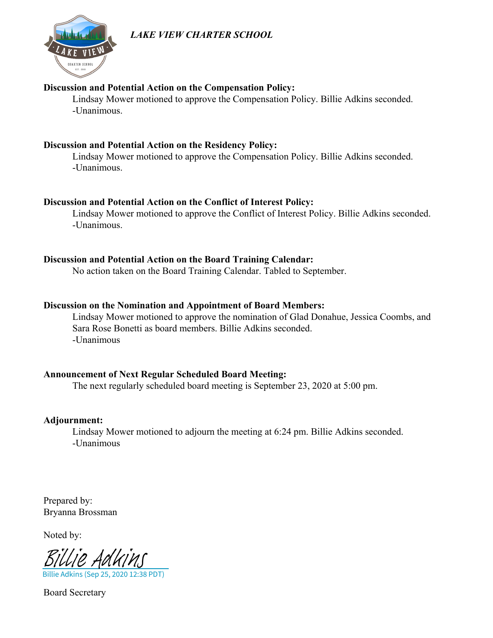# *LAKE VIEW CHARTER SCHOOL*



#### **Discussion and Potential Action on the Compensation Policy:**

Lindsay Mower motioned to approve the Compensation Policy. Billie Adkins seconded. -Unanimous.

#### **Discussion and Potential Action on the Residency Policy:**

Lindsay Mower motioned to approve the Compensation Policy. Billie Adkins seconded. -Unanimous.

#### **Discussion and Potential Action on the Conflict of Interest Policy:**

Lindsay Mower motioned to approve the Conflict of Interest Policy. Billie Adkins seconded. -Unanimous.

#### **Discussion and Potential Action on the Board Training Calendar:**

No action taken on the Board Training Calendar. Tabled to September.

#### **Discussion on the Nomination and Appointment of Board Members:**

Lindsay Mower motioned to approve the nomination of Glad Donahue, Jessica Coombs, and Sara Rose Bonetti as board members. Billie Adkins seconded. -Unanimous

### **Announcement of Next Regular Scheduled Board Meeting:**

The next regularly scheduled board meeting is September 23, 2020 at 5:00 pm.

#### **Adjournment:**

Lindsay Mower motioned to adjourn the meeting at 6:24 pm. Billie Adkins seconded. -Unanimous

Prepared by: Bryanna Brossman

Noted by:

Billie Adkins (Sep 25, 2020 12:38 PDT) [Billie Adkins](https://na2.documents.adobe.com/verifier?tx=CBJCHBCAABAAITQNnNdPOEpi_xH-f6UhQQ5n9jDO3Ido)

Board Secretary